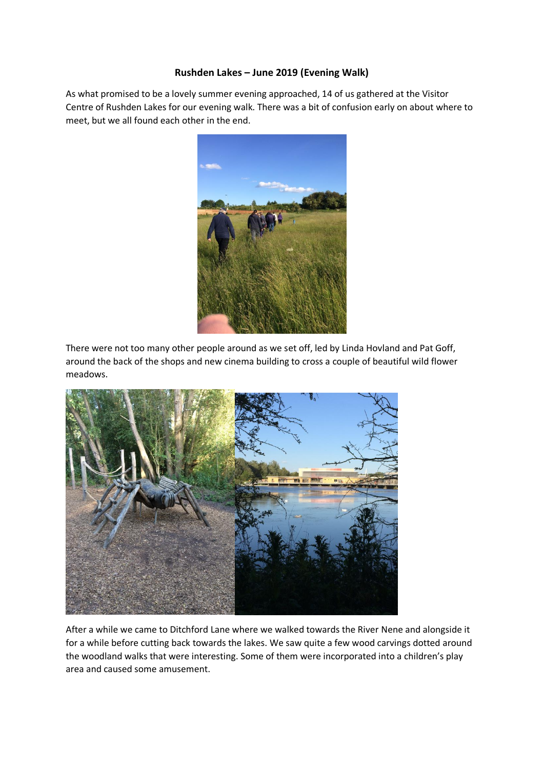## **Rushden Lakes – June 2019 (Evening Walk)**

As what promised to be a lovely summer evening approached, 14 of us gathered at the Visitor Centre of Rushden Lakes for our evening walk. There was a bit of confusion early on about where to meet, but we all found each other in the end.



There were not too many other people around as we set off, led by Linda Hovland and Pat Goff, around the back of the shops and new cinema building to cross a couple of beautiful wild flower meadows.



After a while we came to Ditchford Lane where we walked towards the River Nene and alongside it for a while before cutting back towards the lakes. We saw quite a few wood carvings dotted around the woodland walks that were interesting. Some of them were incorporated into a children's play area and caused some amusement.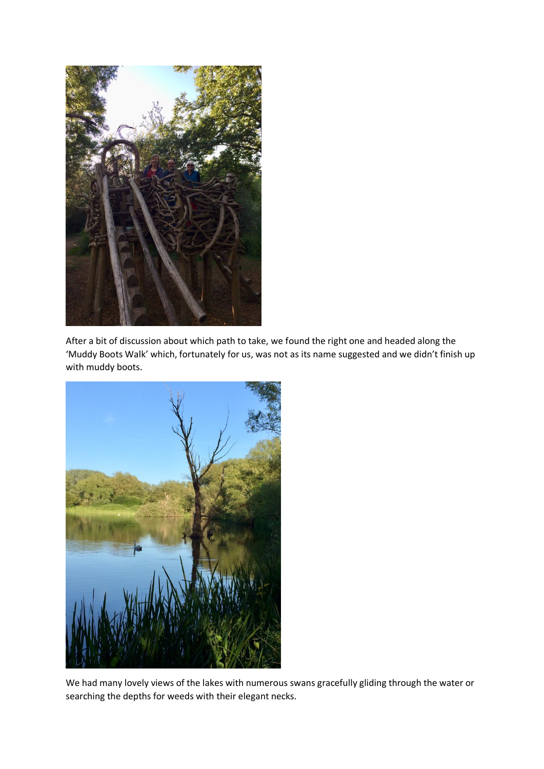

After a bit of discussion about which path to take, we found the right one and headed along the 'Muddy Boots Walk' which, fortunately for us, was not as its name suggested and we didn't finish up with muddy boots.



We had many lovely views of the lakes with numerous swans gracefully gliding through the water or searching the depths for weeds with their elegant necks.